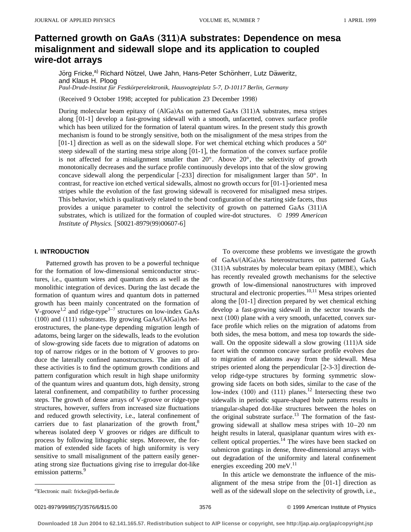# **Patterned growth on GaAs (311)A substrates: Dependence on mesa misalignment and sidewall slope and its application to coupled wire-dot arrays**

Jörg Fricke,<sup>a)</sup> Richard Nötzel, Uwe Jahn, Hans-Peter Schönherr, Lutz Däweritz, and Klaus H. Ploog

*Paul-Drude-Institut fu¨r Festko¨rperelektronik, Hausvogteiplatz 5-7, D-10117 Berlin, Germany*

(Received 9 October 1998; accepted for publication 23 December 1998)

During molecular beam epitaxy of  $(AIGa)As$  on patterned GaAs  $(311)A$  substrates, mesa stripes along  $[01-1]$  develop a fast-growing sidewall with a smooth, unfacetted, convex surface profile which has been utilized for the formation of lateral quantum wires. In the present study this growth mechanism is found to be strongly sensitive, both on the misalignment of the mesa stripes from the [01-1] direction as well as on the sidewall slope. For wet chemical etching which produces a  $50^{\circ}$ steep sidewall of the starting mesa stripe along  $[01-1]$ , the formation of the convex surface profile is not affected for a misalignment smaller than  $20^\circ$ . Above  $20^\circ$ , the selectivity of growth monotonically decreases and the surface profile continuously develops into that of the slow growing concave sidewall along the perpendicular  $[-233]$  direction for misalignment larger than  $50^{\circ}$ . In contrast, for reactive ion etched vertical sidewalls, almost no growth occurs for  $[01-1]$ -oriented mesa stripes while the evolution of the fast growing sidewall is recovered for misaligned mesa stripes. This behavior, which is qualitatively related to the bond configuration of the starting side facets, thus provides a unique parameter to control the selectivity of growth on patterned GaAs  $(311)$ A substrates, which is utilized for the formation of coupled wire-dot structures. © *1999 American Institute of Physics.* [S0021-8979(99)00607-6]

### **I. INTRODUCTION**

Patterned growth has proven to be a powerful technique for the formation of low-dimensional semiconductor structures, i.e., quantum wires and quantum dots as well as the monolithic integration of devices. During the last decade the formation of quantum wires and quantum dots in patterned growth has been mainly concentrated on the formation of V-groove<sup>1,2</sup> and ridge-type<sup>3-7</sup> structures on low-index GaAs  $(100)$  and  $(111)$  substrates. By growing GaAs/ $(AIGa)$ As heterostructures, the plane-type depending migration length of adatoms, being larger on the sidewalls, leads to the evolution of slow-growing side facets due to migration of adatoms on top of narrow ridges or in the bottom of V grooves to produce the laterally confined nanostructures. The aim of all these activities is to find the optimum growth conditions and pattern configuration which result in high shape uniformity of the quantum wires and quantum dots, high density, strong lateral confinement, and compatibility to further processing steps. The growth of dense arrays of V-groove or ridge-type structures, however, suffers from increased size fluctuations and reduced growth selectivity, i.e., lateral confinement of carriers due to fast planarization of the growth front, $8$ whereas isolated deep V grooves or ridges are difficult to process by following lithographic steps. Moreover, the formation of extended side facets of high uniformity is very sensitive to small misalignment of the pattern easily generating strong size fluctuations giving rise to irregular dot-like emission patterns.<sup>9</sup>

To overcome these problems we investigate the growth of GaAs/(AlGa)As heterostructures on patterned GaAs  $(311)$ A substrates by molecular beam epitaxy (MBE), which has recently revealed growth mechanisms for the selective growth of low-dimensional nanostructures with improved structural and electronic properties.<sup>10,11</sup> Mesa stripes oriented along the  $[01-1]$  direction prepared by wet chemical etching develop a fast-growing sidewall in the sector towards the next (100) plane with a very smooth, unfacetted, convex surface profile which relies on the migration of adatoms from both sides, the mesa bottom, and mesa top towards the sidewall. On the opposite sidewall a slow growing  $(111)A$  side facet with the common concave surface profile evolves due to migration of adatoms away from the sidewall. Mesa stripes oriented along the perpendicular  $[2-3-3]$  direction develop ridge-type structures by forming symmetric slowgrowing side facets on both sides, similar to the case of the low-index  $(100)$  and  $(111)$  planes.<sup>12</sup> Intersecting these two sidewalls in periodic square-shaped hole patterns results in triangular-shaped dot-like structures between the holes on the original substrate surface.<sup>13</sup> The formation of the fastgrowing sidewall at shallow mesa stripes with 10–20 nm height results in lateral, quasiplanar quantum wires with excellent optical properties.<sup>14</sup> The wires have been stacked on submicron gratings in dense, three-dimensional arrays without degradation of the uniformity and lateral confinement energies exceeding 200 meV.<sup>11</sup>

In this article we demonstrate the influence of the misalignment of the mesa stripe from the  $[01-1]$  direction as well as of the sidewall slope on the selectivity of growth, i.e.,

a)Electronic mail: fricke@pdi-berlin.de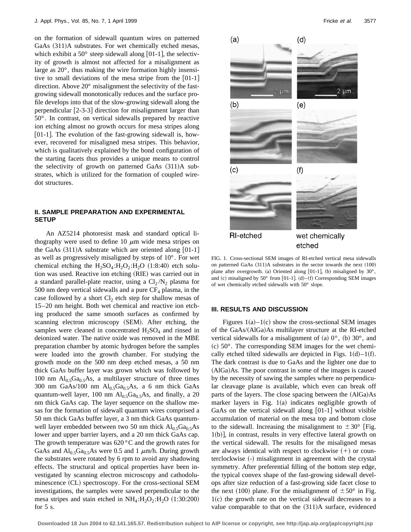on the formation of sidewall quantum wires on patterned GaAs  $(311)$ A substrates. For wet chemically etched mesas, which exhibit a  $50^{\circ}$  steep sidewall along [01-1], the selectivity of growth is almost not affected for a misalignment as large as 20°, thus making the wire formation highly insensitive to small deviations of the mesa stripe from the  $[01-1]$ direction. Above 20° misalignment the selectivity of the fastgrowing sidewall monotonically reduces and the surface profile develops into that of the slow-growing sidewall along the perpendicular  $[2-3-3]$  direction for misalignment larger than 50°. In contrast, on vertical sidewalls prepared by reactive ion etching almost no growth occurs for mesa stripes along  $[01-1]$ . The evolution of the fast-growing sidewall is, however, recovered for misaligned mesa stripes. This behavior, which is qualitatively explained by the bond configuration of the starting facets thus provides a unique means to control the selectivity of growth on patterned GaAs  $(311)$ A substrates, which is utilized for the formation of coupled wiredot structures.

## **II. SAMPLE PREPARATION AND EXPERIMENTAL SETUP**

An AZ5214 photoresist mask and standard optical lithography were used to define 10  $\mu$ m wide mesa stripes on the GaAs  $(311)$ A substrate which are oriented along  $[01-1]$ as well as progressively misaligned by steps of 10°. For wet chemical etching the  $H_2SO_4$ : $H_2O_2$ : $H_2O$  (1:8:40) etch solution was used. Reactive ion etching (RIE) was carried out in a standard parallel-plate reactor, using a  $Cl_2/N_2$  plasma for 500 nm deep vertical sidewalls and a pure  $CF_4$  plasma, in the case followed by a short  $Cl_2$  etch step for shallow mesas of 15–20 nm height. Both wet chemical and reactive ion etching produced the same smooth surfaces as confirmed by scanning electron microscopy (SEM). After etching, the samples were cleaned in concentrated  $H_2SO_4$  and rinsed in deionized water. The native oxide was removed in the MBE preparation chamber by atomic hydrogen before the samples were loaded into the growth chamber. For studying the growth mode on the 500 nm deep etched mesas, a 50 nm thick GaAs buffer layer was grown which was followed by 100 nm  $Al<sub>0.5</sub>Ga<sub>0.5</sub>As$ , a multilayer structure of three times 300 nm GaAs/100 nm  $Al<sub>0.5</sub>Ga<sub>0.5</sub>As$ , a 6 nm thick GaAs quantum-well layer, 100 nm  $Al<sub>0.5</sub>Ga<sub>0.5</sub>As$ , and finally, a 20 nm thick GaAs cap. The layer sequence on the shallow mesas for the formation of sidewall quantum wires comprised a 50 nm thick GaAs buffer layer, a 3 nm thick GaAs quantumwell layer embedded between two 50 nm thick  $Al_0$ ,  $Ga_0$ ,  $As$ lower and upper barrier layers, and a 20 nm thick GaAs cap. The growth temperature was  $620\degree C$  and the growth rates for GaAs and  $Al_{0.5}Ga_{0.5}As$  were 0.5 and 1  $\mu$ m/h. During growth the substrates were rotated by 6 rpm to avoid any shadowing effects. The structural and optical properties have been investigated by scanning electron microscopy and cathodoluminescence (CL) spectroscopy. For the cross-sectional SEM investigations, the samples were sawed perpendicular to the mesa stripes and stain etched in  $NH_4: H_2O_2: H_2O (1:30:200)$ for 5 s.



FIG. 1. Cross-sectional SEM images of RI-etched vertical mesa sidewalls on patterned GaAs  $(311)$ A substrates in the sector towards the next  $(100)$ plane after overgrowth. (a) Oriented along  $[01-1]$ , (b) misaligned by  $30^{\circ}$ , and (c) misaligned by 50° from [01-1]. (d)–(f) Corresponding SEM images of wet chemically etched sidewalls with 50° slope.

#### **III. RESULTS AND DISCUSSION**

Figures  $1(a)-1(c)$  show the cross-sectional SEM images of the GaAs/(AlGa)As multilayer structure at the RI-etched vertical sidewalls for a misalignment of (a)  $0^{\circ}$ , (b)  $30^{\circ}$ , and  $~(c)$  50 $^{\circ}$ . The corresponding SEM images for the wet chemically etched tilted sidewalls are depicted in Figs.  $1(d) - 1(f)$ . The dark contrast is due to GaAs and the lighter one due to  $(AIGa)As.$  The poor contrast in some of the images is caused by the necessity of sawing the samples where no perpendicular cleavage plane is available, which even can break off parts of the layers. The close spacing between the  $(AIGa)As$ marker layers in Fig.  $1(a)$  indicates negligible growth of GaAs on the vertical sidewall along  $[01-1]$  without visible accumulation of material on the mesa top and bottom close to the sidewall. Increasing the misalignment to  $\pm 30^{\circ}$  [Fig.  $1(b)$ , in contrast, results in very effective lateral growth on the vertical sidewall. The results for the misaligned mesas are always identical with respect to clockwise  $(+)$  or counterclockwise (-) misalignment in agreement with the crystal symmetry. After preferential filling of the bottom step edge, the typical convex shape of the fast-growing sidewall develops after size reduction of a fast-growing side facet close to the next (100) plane. For the misalignment of  $\pm 50^{\circ}$  in Fig.  $1(c)$  the growth rate on the vertical sidewall decreases to a value comparable to that on the  $(311)$ A surface, evidenced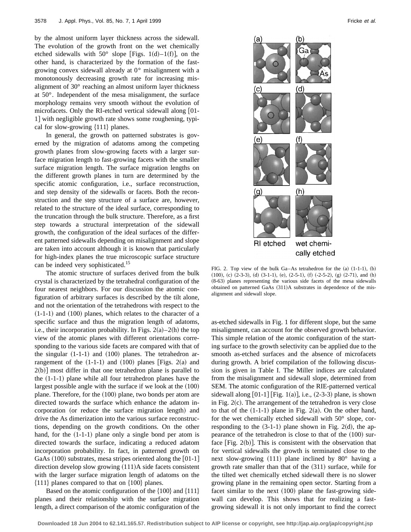by the almost uniform layer thickness across the sidewall. The evolution of the growth front on the wet chemically etched sidewalls with 50° slope [Figs. 1(d)–1(f)], on the other hand, is characterized by the formation of the fastgrowing convex sidewall already at 0° misalignment with a monotonously decreasing growth rate for increasing misalignment of 30° reaching an almost uniform layer thickness at 50°. Independent of the mesa misalignment, the surface morphology remains very smooth without the evolution of microfacets. Only the RI-etched vertical sidewall along  $[01$ -1] with negligible growth rate shows some roughening, typical for slow-growing  $\{111\}$  planes.

In general, the growth on patterned substrates is governed by the migration of adatoms among the competing growth planes from slow-growing facets with a larger surface migration length to fast-growing facets with the smaller surface migration length. The surface migration lengths on the different growth planes in turn are determined by the specific atomic configuration, i.e., surface reconstruction, and step density of the sidewalls or facets. Both the reconstruction and the step structure of a surface are, however, related to the structure of the ideal surface, corresponding to the truncation through the bulk structure. Therefore, as a first step towards a structural interpretation of the sidewall growth, the configuration of the ideal surfaces of the different patterned sidewalls depending on misalignment and slope are taken into account although it is known that particularly for high-index planes the true microscopic surface structure can be indeed very sophisticated.<sup>15</sup>

The atomic structure of surfaces derived from the bulk crystal is characterized by the tetrahedral configuration of the four nearest neighbors. For our discussion the atomic configuration of arbitrary surfaces is described by the tilt alone, and not the orientation of the tetrahedrons with respect to the  $(1-1-1)$  and  $(100)$  planes, which relates to the character of a specific surface and thus the migration length of adatoms, i.e., their incorporation probability. In Figs.  $2(a)-2(h)$  the top view of the atomic planes with different orientations corresponding to the various side facets are compared with that of the singular  $(1-1-1)$  and  $(100)$  planes. The tetrahedron arrangement of the  $(1-1-1)$  and  $(100)$  planes [Figs. 2(a) and  $2(b)$ ] most differ in that one tetrahedron plane is parallel to the  $(1-1-1)$  plane while all four tetrahedron planes have the largest possible angle with the surface if we look at the  $(100)$ plane. Therefore, for the  $(100)$  plane, two bonds per atom are directed towards the surface which enhance the adatom incorporation (or reduce the surface migration length) and drive the As dimerization into the various surface reconstructions, depending on the growth conditions. On the other hand, for the  $(1-1-1)$  plane only a single bond per atom is directed towards the surface, indicating a reduced adatom incorporation probability. In fact, in patterned growth on GaAs  $(100)$  substrates, mesa stripes oriented along the  $[01-1]$ direction develop slow growing  $(111)A$  side facets consistent with the larger surface migration length of adatoms on the  ${111}$  planes compared to that on  ${100}$  planes.

Based on the atomic configuration of the  $\{100\}$  and  $\{111\}$ planes and their relationship with the surface migration length, a direct comparison of the atomic configuration of the



FIG. 2. Top view of the bulk Ga–As tetrahedron for the  $(a)$   $(1-1-1)$ ,  $(b)$  $(100)$ , (c)  $(2-3-3)$ , (d)  $(3-1-1)$ , (e),  $(2-5-1)$ ,  $(f)$   $(-2-5-2)$ ,  $(g)$   $(2-71)$ , and  $(h)$  $(8-63)$  planes representing the various side facets of the mesa sidewalls obtained on patterned GaAs  $(311)$ A substrates in dependence of the misalignment and sidewall slope.

as-etched sidewalls in Fig. 1 for different slope, but the same misalignment, can account for the observed growth behavior. This simple relation of the atomic configuration of the starting surface to the growth selectivity can be applied due to the smooth as-etched surfaces and the absence of microfacets during growth. A brief compilation of the following discussion is given in Table I. The Miller indices are calculated from the misalignment and sidewall slope, determined from SEM. The atomic configuration of the RIE-patterned vertical sidewall along  $[01-1]$   $[Fig. 1(a)]$ , i.e.,  $(2-3-3)$  plane, is shown in Fig.  $2(c)$ . The arrangement of the tetrahedron is very close to that of the  $(1-1-1)$  plane in Fig. 2(a). On the other hand, for the wet chemically etched sidewall with 50° slope, corresponding to the  $(3-1-1)$  plane shown in Fig. 2(d), the appearance of the tetrahedron is close to that of the  $(100)$  surface  $[Fig. 2(b)].$  This is consistent with the observation that for vertical sidewalls the growth is terminated close to the next slow-growing  $(111)$  plane inclined by 80 $^{\circ}$  having a growth rate smaller than that of the  $(311)$  surface, while for the tilted wet chemically etched sidewall there is no slower growing plane in the remaining open sector. Starting from a facet similar to the next  $(100)$  plane the fast-growing sidewall can develop. This shows that for realizing a fastgrowing sidewall it is not only important to find the correct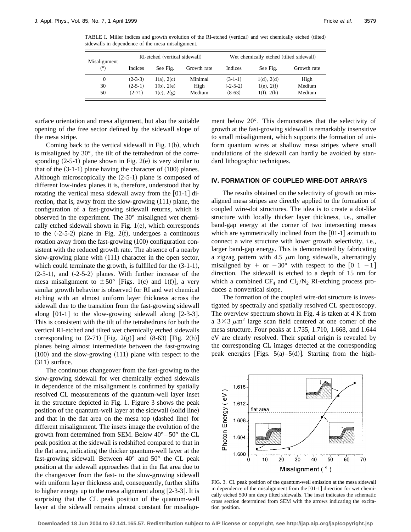TABLE I. Miller indices and growth evolution of the RI-etched (vertical) and wet chemically etched (tilted) sidewalls in dependence of the mesa misalignment.

| Misalignment<br>(°) | RI-etched (vertical sidewall) |                 |             | Wet chemically etched (tilted sidewall) |                 |             |
|---------------------|-------------------------------|-----------------|-------------|-----------------------------------------|-----------------|-------------|
|                     | Indices                       | See Fig.        | Growth rate | Indices                                 | See Fig.        | Growth rate |
| $\Omega$            | $(2-3-3)$                     | $1(a)$ , $2(c)$ | Minimal     | $(3-1-1)$                               | 1(d), 2(d)      | High        |
| 30                  | $(2-5-1)$                     | $1(b)$ , $2(e)$ | High        | $(-2-5-2)$                              | $1(e)$ , $2(f)$ | Medium      |
| 50                  | $(2-71)$                      | $1(c)$ , $2(g)$ | Medium      | $(8-63)$                                | $1(f)$ , $2(h)$ | Medium      |

surface orientation and mesa alignment, but also the suitable opening of the free sector defined by the sidewall slope of the mesa stripe.

Coming back to the vertical sidewall in Fig.  $1(b)$ , which is misaligned by 30°, the tilt of the tetrahedron of the corresponding  $(2-5-1)$  plane shown in Fig. 2(e) is very similar to that of the  $(3-1-1)$  plane having the character of  $(100)$  planes. Although microscopically the  $(2-5-1)$  plane is composed of different low-index planes it is, therefore, understood that by rotating the vertical mesa sidewall away from the  $[01-1]$  direction, that is, away from the slow-growing  $(111)$  plane, the configuration of a fast-growing sidewall returns, which is observed in the experiment. The 30° misaligned wet chemically etched sidewall shown in Fig.  $1(e)$ , which corresponds to the  $(-2-5-2)$  plane in Fig. 2(f), undergoes a continuous rotation away from the fast-growing  $(100)$  configuration consistent with the reduced growth rate. The absence of a nearby slow-growing plane with  $(111)$  character in the open sector, which could terminate the growth, is fulfilled for the  $(3-1-1)$ ,  $(2-5-1)$ , and  $(-2-5-2)$  planes. With further increase of the mesa misalignment to  $\pm 50^{\circ}$  [Figs. 1(c) and 1(f)], a very similar growth behavior is observed for RI and wet chemical etching with an almost uniform layer thickness across the sidewall due to the transition from the fast-growing sidewall along  $[01-1]$  to the slow-growing sidewall along  $[2-3-3]$ . This is consistent with the tilt of the tetrahedrons for both the vertical RI-etched and tilted wet chemically etched sidewalls corresponding to  $(2-71)$  |Fig. 2(g)| and  $(8-63)$  |Fig. 2(h)| planes being almost intermediate between the fast-growing  $(100)$  and the slow-growing  $(111)$  plane with respect to the  $(311)$  surface.

The continuous changeover from the fast-growing to the slow-growing sidewall for wet chemically etched sidewalls in dependence of the misalignment is confirmed by spatially resolved CL measurements of the quantum-well layer inset in the structure depicted in Fig. 1. Figure 3 shows the peak position of the quantum-well layer at the sidewall (solid line) and that in the flat area on the mesa top (dashed line) for different misalignment. The insets image the evolution of the growth front determined from SEM. Below  $40^{\circ} - 50^{\circ}$  the CL peak position at the sidewall is redshifted compared to that in the flat area, indicating the thicker quantum-well layer at the fast-growing sidewall. Between  $40^{\circ}$  and  $50^{\circ}$  the CL peak position at the sidewall approaches that in the flat area due to the changeover from the fast- to the slow-growing sidewall with uniform layer thickness and, consequently, further shifts to higher energy up to the mesa alignment along  $[2-3-3]$ . It is surprising that the CL peak position of the quantum-well layer at the sidewall remains almost constant for misalignment below 20°. This demonstrates that the selectivity of growth at the fast-growing sidewall is remarkably insensitive to small misalignment, which supports the formation of uniform quantum wires at shallow mesa stripes where small undulations of the sidewall can hardly be avoided by standard lithographic techniques.

## **IV. FORMATION OF COUPLED WIRE-DOT ARRAYS**

The results obtained on the selectivity of growth on misaligned mesa stripes are directly applied to the formation of coupled wire-dot structures. The idea is to create a dot-like structure with locally thicker layer thickness, i.e., smaller band-gap energy at the corner of two intersecting mesas which are symmetrically inclined from the  $[01-1]$  azimuth to connect a wire structure with lower growth selectivity, i.e., larger band-gap energy. This is demonstrated by fabricating a zigzag pattern with 4.5  $\mu$ m long sidewalls, alternatingly misaligned by  $+$  or  $-30^{\circ}$  with respect to the  $\begin{bmatrix} 0 & 1 & -1 \end{bmatrix}$ direction. The sidewall is etched to a depth of 15 nm for which a combined  $CF_4$  and  $Cl_2/N_2$  RI-etching process produces a nonvertical slope.

The formation of the coupled wire-dot structure is investigated by spectrally and spatially resolved CL spectroscopy. The overview spectrum shown in Fig. 4 is taken at 4 K from a  $3 \times 3 \mu m^2$  large scan field centered at one corner of the mesa structure. Four peaks at 1.735, 1.710, 1.668, and 1.644 eV are clearly resolved. Their spatial origin is revealed by the corresponding CL images detected at the corresponding peak energies [Figs.  $5(a) - 5(d)$ ]. Starting from the high-



FIG. 3. CL peak position of the quantum-well emission at the mesa sidewall in dependence of the misalignment from the  $[01-1]$  direction for wet chemically etched 500 nm deep tilted sidewalls. The inset indicates the schematic cross section determined from SEM with the arrows indicating the excitation position.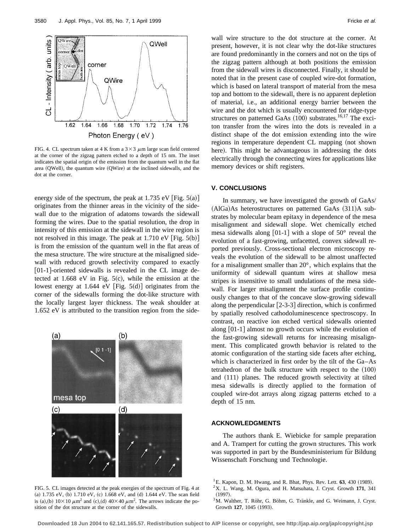

FIG. 4. CL spectrum taken at 4 K from a  $3 \times 3 \mu$ m large scan field centered at the corner of the zigzag pattern etched to a depth of 15 nm. The inset indicates the spatial origin of the emission from the quantum well in the flat area (QWell), the quantum wire (QWire) at the inclined sidewalls, and the dot at the corner.

energy side of the spectrum, the peak at 1.735 eV [Fig.  $5(a)$ ] originates from the thinner areas in the vicinity of the sidewall due to the migration of adatoms towards the sidewall forming the wires. Due to the spatial resolution, the drop in intensity of this emission at the sidewall in the wire region is not resolved in this image. The peak at  $1.710 \text{ eV}$  [Fig.  $5(b)$ ] is from the emission of the quantum well in the flat areas of the mesa structure. The wire structure at the misaligned sidewall with reduced growth selectivity compared to exactly  $[01-1]$ -oriented sidewalls is revealed in the CL image detected at 1.668 eV in Fig.  $5(c)$ , while the emission at the lowest energy at 1.644 eV [Fig.  $5(d)$ ] originates from the corner of the sidewalls forming the dot-like structure with the locally largest layer thickness. The weak shoulder at 1.652 eV is attributed to the transition region from the side-



FIG. 5. CL images detected at the peak energies of the spectrum of Fig. 4 at (a) 1.735 eV, (b) 1.710 eV, (c) 1.668 eV, and (d) 1.644 eV. The scan field is (a),(b)  $10 \times 10 \ \mu \text{m}^2$  and (c),(d)  $40 \times 40 \ \mu \text{m}^2$ . The arrows indicate the position of the dot structure at the corner of the sidewalls.

wall wire structure to the dot structure at the corner. At present, however, it is not clear why the dot-like structures are found predominantly in the corners and not on the tips of the zigzag pattern although at both positions the emission from the sidewall wires is disconnected. Finally, it should be noted that in the present case of coupled wire-dot formation, which is based on lateral transport of material from the mesa top and bottom to the sidewall, there is no apparent depletion of material, i.e., an additional energy barrier between the wire and the dot which is usually encountered for ridge-type structures on patterned GaAs  $(100)$  substrates.<sup>16,17</sup> The exciton transfer from the wires into the dots is revealed in a distinct shape of the dot emission extending into the wire regions in temperature dependent CL mapping (not shown here). This might be advantageous in addressing the dots electrically through the connecting wires for applications like memory devices or shift registers.

#### **V. CONCLUSIONS**

In summary, we have investigated the growth of GaAs/  $(AIGa)As$  heterostructures on patterned GaAs  $(311)A$  substrates by molecular beam epitaxy in dependence of the mesa misalignment and sidewall slope. Wet chemically etched mesa sidewalls along  $[01-1]$  with a slope of 50° reveal the evolution of a fast-growing, unfacetted, convex sidewall reported previously. Cross-sectional electron microscopy reveals the evolution of the sidewall to be almost unaffected for a misalignment smaller than 20°, which explains that the uniformity of sidewall quantum wires at shallow mesa stripes is insensitive to small undulations of the mesa sidewall. For larger misalignment the surface profile continuously changes to that of the concave slow-growing sidewall along the perpendicular  $[2-3-3]$  direction, which is confirmed by spatially resolved cathodoluminescence spectroscopy. In contrast, on reactive ion etched vertical sidewalls oriented along  $[01-1]$  almost no growth occurs while the evolution of the fast-growing sidewall returns for increasing misalignment. This complicated growth behavior is related to the atomic configuration of the starting side facets after etching, which is characterized in first order by the tilt of the Ga–As tetrahedron of the bulk structure with respect to the  $(100)$ and  $(111)$  planes. The reduced growth selectivity at tilted mesa sidewalls is directly applied to the formation of coupled wire-dot arrays along zigzag patterns etched to a depth of 15 nm.

## **ACKNOWLEDGMENTS**

The authors thank E. Wiebicke for sample preparation and A. Trampert for cutting the grown structures. This work was supported in part by the Bundesministerium fur Bildung Wissenschaft Forschung und Technologie.

**Downloaded 18 Jun 2004 to 62.141.165.57. Redistribution subject to AIP license or copyright, see http://jap.aip.org/jap/copyright.jsp**

 $^{1}$ E. Kapon, D. M. Hwang, and R. Bhat, Phys. Rev. Lett.  $63$ , 430 (1989).

<sup>2</sup>X. L. Wang, M. Ogura, and H. Matsuhata, J. Cryst. Growth **171**, 341  $(1997).$ 

 $3$ M. Walther, T. Röhr, G. Böhm, G. Tränkle, and G. Weimann, J. Cryst. Growth 127, 1045 (1993).